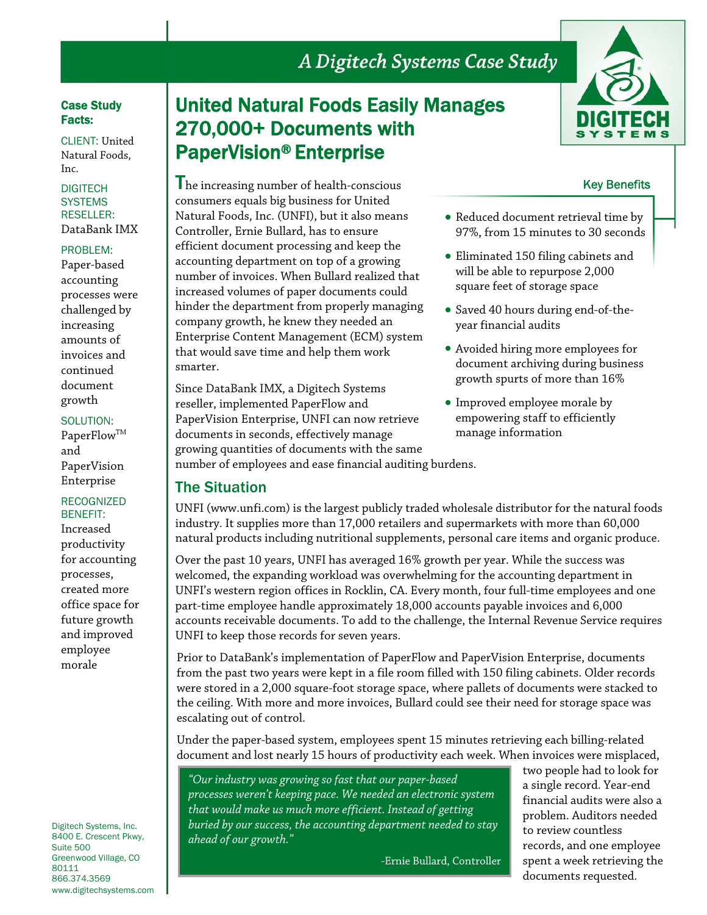# A Digitech Systems Case Study

### Case Study Facts:

CLIENT: United Natural Foods, Inc.

#### **DIGITECH SYSTEMS** RESELLER: DataBank IMX

#### PROBLEM:

Paper-based accounting processes were challenged by increasing amounts of invoices and continued document growth

### SOLUTION:

PaperFlow<sup>™</sup> and PaperVision Enterprise

## RECOGNIZED BENEFIT:

Increased productivity for accounting processes, created more office space for future growth and improved employee morale

Digitech Systems, Inc. 8400 E. Crescent Pkwy, Suite 500 Greenwood Village, CO 80111 866.374.3569 www.digitechsystems.com

# United Natural Foods Easily Manages 270,000+ Documents with PaperVision® Enterprise



Since DataBank IMX, a Digitech Systems reseller, implemented PaperFlow and PaperVision Enterprise, UNFI can now retrieve documents in seconds, effectively manage growing quantities of documents with the same number of employees and ease financial auditing burdens.

## The Situation

manage information

UNFI (www.unfi.com) is the largest publicly traded wholesale distributor for the natural foods industry. It supplies more than 17,000 retailers and supermarkets with more than 60,000 natural products including nutritional supplements, personal care items and organic produce.

Over the past 10 years, UNFI has averaged 16% growth per year. While the success was welcomed, the expanding workload was overwhelming for the accounting department in UNFI's western region offices in Rocklin, CA. Every month, four full-time employees and one part-time employee handle approximately 18,000 accounts payable invoices and 6,000 accounts receivable documents. To add to the challenge, the Internal Revenue Service requires UNFI to keep those records for seven years.

Prior to DataBank's implementation of PaperFlow and PaperVision Enterprise, documents from the past two years were kept in a file room filled with 150 filing cabinets. Older records were stored in a 2,000 square-foot storage space, where pallets of documents were stacked to the ceiling. With more and more invoices, Bullard could see their need for storage space was escalating out of control.

Under the paper-based system, employees spent 15 minutes retrieving each billing-related document and lost nearly 15 hours of productivity each week. When invoices were misplaced,

*"Our industry was growing so fast that our paper-based processes weren't keeping pace. We needed an electronic system that would make us much more efficient. Instead of getting buried by our success, the accounting department needed to stay ahead of our growth."* 

-Ernie Bullard, Controller

two people had to look for a single record. Year-end financial audits were also a problem. Auditors needed to review countless records, and one employee spent a week retrieving the documents requested.



## Key Benefits

- Reduced document retrieval time by 97%, from 15 minutes to 30 seconds
- Eliminated 150 filing cabinets and will be able to repurpose 2,000 square feet of storage space
- Saved 40 hours during end-of-theyear financial audits
- Avoided hiring more employees for document archiving during business growth spurts of more than 16%
- Improved employee morale by empowering staff to efficiently